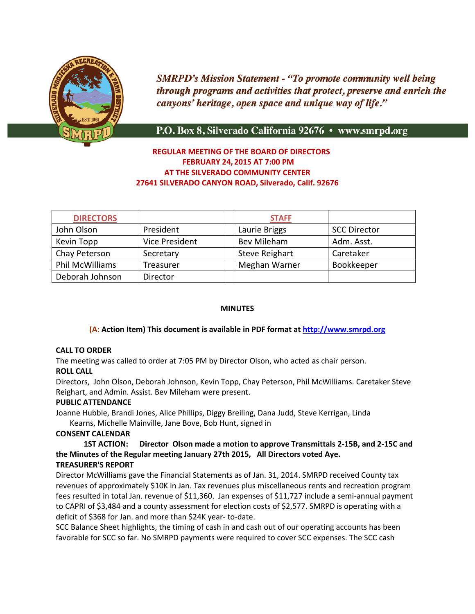

**SMRPD's Mission Statement - "To promote community well being** through programs and activities that protect, preserve and enrich the canyons' heritage, open space and unique way of life."

# P.O. Box 8, Silverado California 92676 • www.smrpd.org

# **REGULAR MEETING OF THE BOARD OF DIRECTORS FEBRUARY 24, 2015 AT 7:00 PM AT THE SILVERADO COMMUNITY CENTER 27641 SILVERADO CANYON ROAD, Silverado, Calif. 92676**

| <b>DIRECTORS</b> |                       | <b>STAFF</b>          |                     |
|------------------|-----------------------|-----------------------|---------------------|
| John Olson       | President             | Laurie Briggs         | <b>SCC Director</b> |
| Kevin Topp       | <b>Vice President</b> | <b>Bev Mileham</b>    | Adm. Asst.          |
| Chay Peterson    | Secretary             | <b>Steve Reighart</b> | Caretaker           |
| Phil McWilliams  | Treasurer             | Meghan Warner         | Bookkeeper          |
| Deborah Johnson  | Director              |                       |                     |

## **MINUTES**

### **(A: Action Item) This document is available in PDF format at [http://www.smrpd.org](http://www.smrpd.org/)**

### **CALL TO ORDER**

The meeting was called to order at 7:05 PM by Director Olson, who acted as chair person. **ROLL CALL**

Directors, John Olson, Deborah Johnson, Kevin Topp, Chay Peterson, Phil McWilliams. Caretaker Steve Reighart, and Admin. Assist. Bev Mileham were present.

### **PUBLIC ATTENDANCE**

Joanne Hubble, Brandi Jones, Alice Phillips, Diggy Breiling, Dana Judd, Steve Kerrigan, Linda Kearns, Michelle Mainville, Jane Bove, Bob Hunt, signed in

## **CONSENT CALENDAR**

**1ST ACTION: Director Olson made a motion to approve Transmittals 2-15B, and 2-15C and the Minutes of the Regular meeting January 27th 2015, All Directors voted Aye. TREASURER'S REPORT**

Director McWilliams gave the Financial Statements as of Jan. 31, 2014. SMRPD received County tax revenues of approximately \$10K in Jan. Tax revenues plus miscellaneous rents and recreation program fees resulted in total Jan. revenue of \$11,360. Jan expenses of \$11,727 include a semi-annual payment to CAPRI of \$3,484 and a county assessment for election costs of \$2,577. SMRPD is operating with a deficit of \$368 for Jan. and more than \$24K year- to-date.

SCC Balance Sheet highlights, the timing of cash in and cash out of our operating accounts has been favorable for SCC so far. No SMRPD payments were required to cover SCC expenses. The SCC cash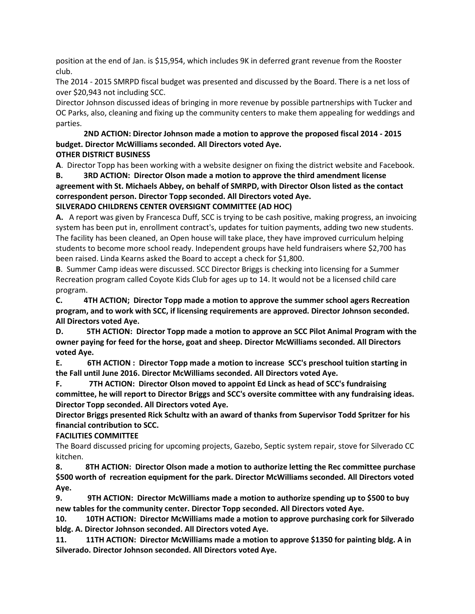position at the end of Jan. is \$15,954, which includes 9K in deferred grant revenue from the Rooster club.

The 2014 - 2015 SMRPD fiscal budget was presented and discussed by the Board. There is a net loss of over \$20,943 not including SCC.

Director Johnson discussed ideas of bringing in more revenue by possible partnerships with Tucker and OC Parks, also, cleaning and fixing up the community centers to make them appealing for weddings and parties.

#### **2ND ACTION: Director Johnson made a motion to approve the proposed fiscal 2014 - 2015 budget. Director McWilliams seconded. All Directors voted Aye. OTHER DISTRICT BUSINESS**

**A**. Director Topp has been working with a website designer on fixing the district website and Facebook.

**B. 3RD ACTION: Director Olson made a motion to approve the third amendment license agreement with St. Michaels Abbey, on behalf of SMRPD, with Director Olson listed as the contact correspondent person. Director Topp seconded. All Directors voted Aye.**

# **SILVERADO CHILDRENS CENTER OVERSIGNT COMMITTEE (AD HOC)**

**A.** A report was given by Francesca Duff, SCC is trying to be cash positive, making progress, an invoicing system has been put in, enrollment contract's, updates for tuition payments, adding two new students. The facility has been cleaned, an Open house will take place, they have improved curriculum helping students to become more school ready. Independent groups have held fundraisers where \$2,700 has been raised. Linda Kearns asked the Board to accept a check for \$1,800.

**B**. Summer Camp ideas were discussed. SCC Director Briggs is checking into licensing for a Summer Recreation program called Coyote Kids Club for ages up to 14. It would not be a licensed child care program.

**C. 4TH ACTION; Director Topp made a motion to approve the summer school agers Recreation program, and to work with SCC, if licensing requirements are approved. Director Johnson seconded. All Directors voted Aye.**

**D. 5TH ACTION: Director Topp made a motion to approve an SCC Pilot Animal Program with the owner paying for feed for the horse, goat and sheep. Director McWilliams seconded. All Directors voted Aye.**

**E. 6TH ACTION : Director Topp made a motion to increase SCC's preschool tuition starting in the Fall until June 2016. Director McWilliams seconded. All Directors voted Aye.**

**F. 7TH ACTION: Director Olson moved to appoint Ed Linck as head of SCC's fundraising committee, he will report to Director Briggs and SCC's oversite committee with any fundraising ideas. Director Topp seconded. All Directors voted Aye.**

**Director Briggs presented Rick Schultz with an award of thanks from Supervisor Todd Spritzer for his financial contribution to SCC.** 

**FACILITIES COMMITTEE**

The Board discussed pricing for upcoming projects, Gazebo, Septic system repair, stove for Silverado CC kitchen.

**8. 8TH ACTION: Director Olson made a motion to authorize letting the Rec committee purchase \$500 worth of recreation equipment for the park. Director McWilliams seconded. All Directors voted Aye.**

**9. 9TH ACTION: Director McWilliams made a motion to authorize spending up to \$500 to buy new tables for the community center. Director Topp seconded. All Directors voted Aye.**

**10. 10TH ACTION: Director McWilliams made a motion to approve purchasing cork for Silverado bldg. A. Director Johnson seconded. All Directors voted Aye.**

**11. 11TH ACTION: Director McWilliams made a motion to approve \$1350 for painting bldg. A in Silverado. Director Johnson seconded. All Directors voted Aye.**